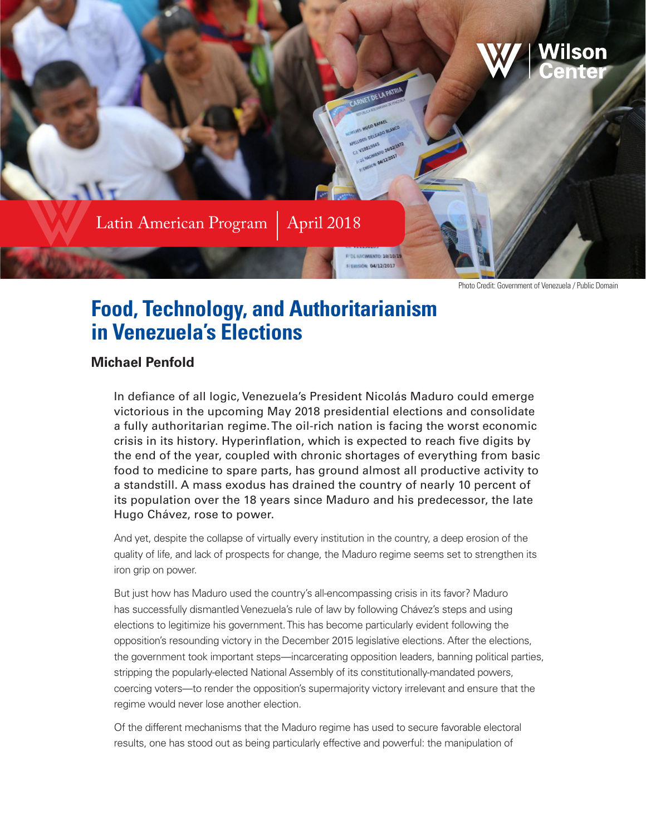

Photo Credit: Government of Venezuela / Public Domain

# **Food, Technology, and Authoritarianism in Venezuela's Elections**

#### **Michael Penfold**

In defiance of all logic, Venezuela's President Nicolás Maduro could emerge victorious in the upcoming May 2018 presidential elections and consolidate a fully authoritarian regime. The oil-rich nation is facing the worst economic crisis in its history. Hyperinflation, which is expected to reach five digits by the end of the year, coupled with chronic shortages of everything from basic food to medicine to spare parts, has ground almost all productive activity to a standstill. A mass exodus has drained the country of nearly 10 percent of its population over the 18 years since Maduro and his predecessor, the late Hugo Chávez, rose to power.

And yet, despite the collapse of virtually every institution in the country, a deep erosion of the quality of life, and lack of prospects for change, the Maduro regime seems set to strengthen its iron grip on power.

But just how has Maduro used the country's all-encompassing crisis in its favor? Maduro has successfully dismantled Venezuela's rule of law by following Chávez's steps and using elections to legitimize his government. This has become particularly evident following the opposition's resounding victory in the December 2015 legislative elections. After the elections, the government took important steps—incarcerating opposition leaders, banning political parties, stripping the popularly-elected National Assembly of its constitutionally-mandated powers, coercing voters—to render the opposition's supermajority victory irrelevant and ensure that the regime would never lose another election.

Of the different mechanisms that the Maduro regime has used to secure favorable electoral results, one has stood out as being particularly effective and powerful: the manipulation of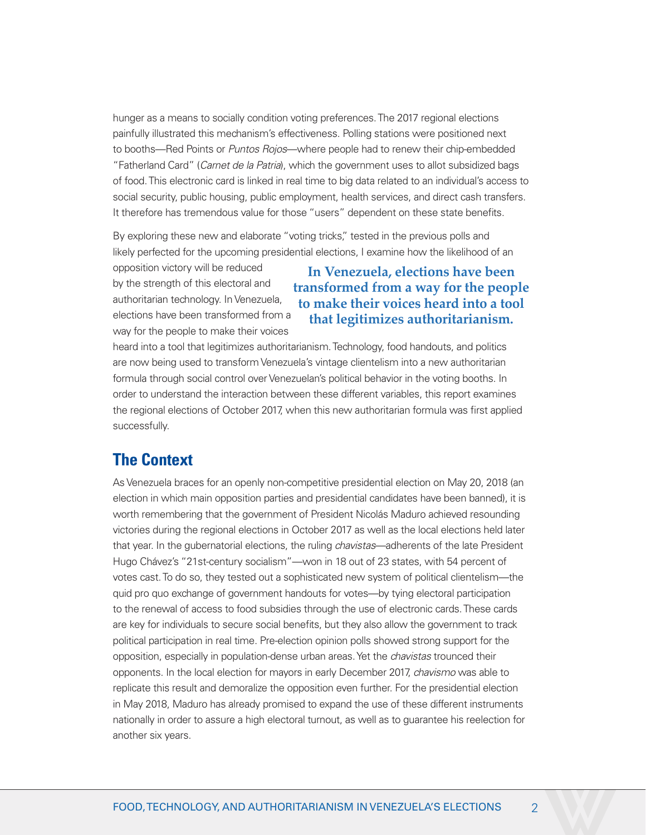hunger as a means to socially condition voting preferences. The 2017 regional elections painfully illustrated this mechanism's effectiveness. Polling stations were positioned next to booths—Red Points or *Puntos Rojos*—where people had to renew their chip-embedded "Fatherland Card" (*Carnet de la Patria*), which the government uses to allot subsidized bags of food. This electronic card is linked in real time to big data related to an individual's access to social security, public housing, public employment, health services, and direct cash transfers. It therefore has tremendous value for those "users" dependent on these state benefits.

By exploring these new and elaborate "voting tricks," tested in the previous polls and likely perfected for the upcoming presidential elections, I examine how the likelihood of an

opposition victory will be reduced by the strength of this electoral and authoritarian technology. In Venezuela, elections have been transformed from a way for the people to make their voices

**In Venezuela, elections have been transformed from a way for the people to make their voices heard into a tool that legitimizes authoritarianism.** 

heard into a tool that legitimizes authoritarianism. Technology, food handouts, and politics are now being used to transform Venezuela's vintage clientelism into a new authoritarian formula through social control over Venezuelan's political behavior in the voting booths. In order to understand the interaction between these different variables, this report examines the regional elections of October 2017, when this new authoritarian formula was first applied successfully.

#### **The Context**

As Venezuela braces for an openly non-competitive presidential election on May 20, 2018 (an election in which main opposition parties and presidential candidates have been banned), it is worth remembering that the government of President Nicolás Maduro achieved resounding victories during the regional elections in October 2017 as well as the local elections held later that year. In the gubernatorial elections, the ruling *chavistas*—adherents of the late President Hugo Chávez's "21st-century socialism"—won in 18 out of 23 states, with 54 percent of votes cast. To do so, they tested out a sophisticated new system of political clientelism—the quid pro quo exchange of government handouts for votes—by tying electoral participation to the renewal of access to food subsidies through the use of electronic cards. These cards are key for individuals to secure social benefits, but they also allow the government to track political participation in real time. Pre-election opinion polls showed strong support for the opposition, especially in population-dense urban areas. Yet the *chavistas* trounced their opponents. In the local election for mayors in early December 2017, *chavismo* was able to replicate this result and demoralize the opposition even further. For the presidential election in May 2018, Maduro has already promised to expand the use of these different instruments nationally in order to assure a high electoral turnout, as well as to guarantee his reelection for another six years.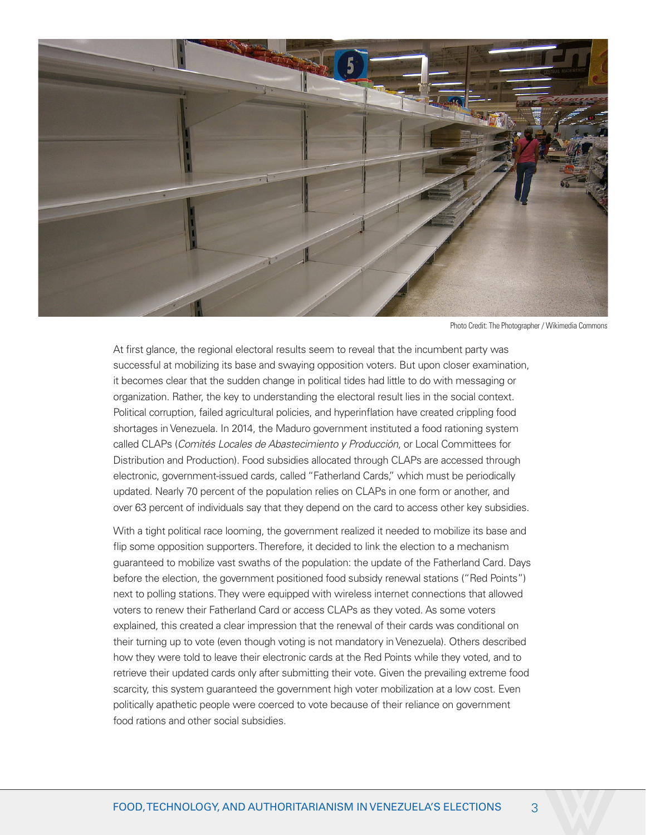

Photo Credit: The Photographer / Wikimedia Commons

At first glance, the regional electoral results seem to reveal that the incumbent party was successful at mobilizing its base and swaying opposition voters. But upon closer examination, it becomes clear that the sudden change in political tides had little to do with messaging or organization. Rather, the key to understanding the electoral result lies in the social context. Political corruption, failed agricultural policies, and hyperinflation have created crippling food shortages in Venezuela. In 2014, the Maduro government instituted a food rationing system called CLAPs (*Comités Locales de Abastecimiento y Producción*, or Local Committees for Distribution and Production). Food subsidies allocated through CLAPs are accessed through electronic, government-issued cards, called "Fatherland Cards," which must be periodically updated. Nearly 70 percent of the population relies on CLAPs in one form or another, and over 63 percent of individuals say that they depend on the card to access other key subsidies.

With a tight political race looming, the government realized it needed to mobilize its base and flip some opposition supporters. Therefore, it decided to link the election to a mechanism guaranteed to mobilize vast swaths of the population: the update of the Fatherland Card. Days before the election, the government positioned food subsidy renewal stations ("Red Points") next to polling stations. They were equipped with wireless internet connections that allowed voters to renew their Fatherland Card or access CLAPs as they voted. As some voters explained, this created a clear impression that the renewal of their cards was conditional on their turning up to vote (even though voting is not mandatory in Venezuela). Others described how they were told to leave their electronic cards at the Red Points while they voted, and to retrieve their updated cards only after submitting their vote. Given the prevailing extreme food scarcity, this system guaranteed the government high voter mobilization at a low cost. Even politically apathetic people were coerced to vote because of their reliance on government food rations and other social subsidies.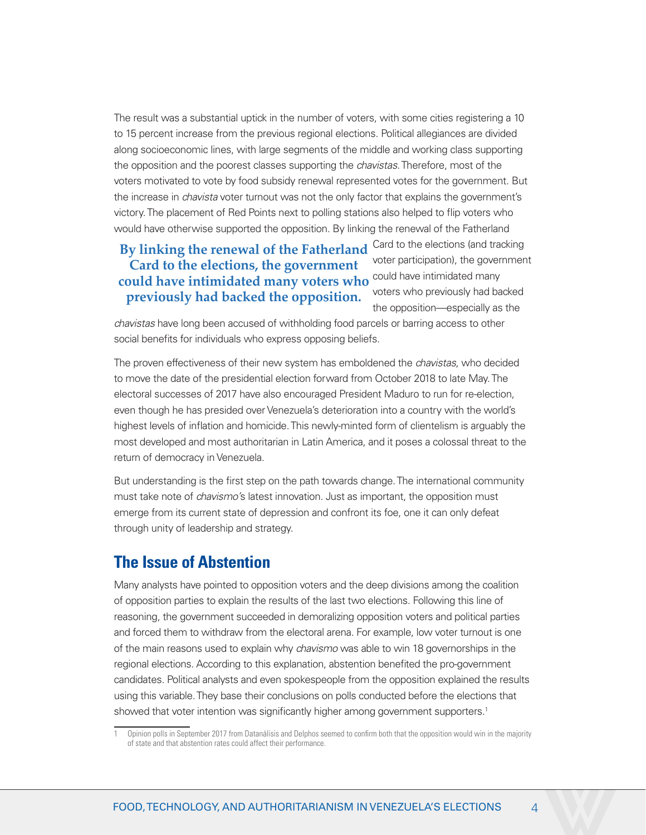The result was a substantial uptick in the number of voters, with some cities registering a 10 to 15 percent increase from the previous regional elections. Political allegiances are divided along socioeconomic lines, with large segments of the middle and working class supporting the opposition and the poorest classes supporting the *chavistas*. Therefore, most of the voters motivated to vote by food subsidy renewal represented votes for the government. But the increase in *chavista* voter turnout was not the only factor that explains the government's victory. The placement of Red Points next to polling stations also helped to flip voters who would have otherwise supported the opposition. By linking the renewal of the Fatherland

#### **By linking the renewal of the Fatherland** Card to the elections (and tracking could have intimidated many **could have intimidated many voters who Card to the elections, the government previously had backed the opposition.**

voter participation), the government voters who previously had backed the opposition—especially as the

*chavistas* have long been accused of withholding food parcels or barring access to other social benefits for individuals who express opposing beliefs.

The proven effectiveness of their new system has emboldened the *chavistas*, who decided to move the date of the presidential election forward from October 2018 to late May. The electoral successes of 2017 have also encouraged President Maduro to run for re-election, even though he has presided over Venezuela's deterioration into a country with the world's highest levels of inflation and homicide. This newly-minted form of clientelism is arguably the most developed and most authoritarian in Latin America, and it poses a colossal threat to the return of democracy in Venezuela.

But understanding is the first step on the path towards change. The international community must take note of *chavismo'*s latest innovation. Just as important, the opposition must emerge from its current state of depression and confront its foe, one it can only defeat through unity of leadership and strategy.

## **The Issue of Abstention**

Many analysts have pointed to opposition voters and the deep divisions among the coalition of opposition parties to explain the results of the last two elections. Following this line of reasoning, the government succeeded in demoralizing opposition voters and political parties and forced them to withdraw from the electoral arena. For example, low voter turnout is one of the main reasons used to explain why *chavismo* was able to win 18 governorships in the regional elections. According to this explanation, abstention benefited the pro-government candidates. Political analysts and even spokespeople from the opposition explained the results using this variable. They base their conclusions on polls conducted before the elections that showed that voter intention was significantly higher among government supporters.<sup>1</sup>

<sup>1</sup> Opinion polls in September 2017 from Datanálisis and Delphos seemed to confirm both that the opposition would win in the majority of state and that abstention rates could affect their performance.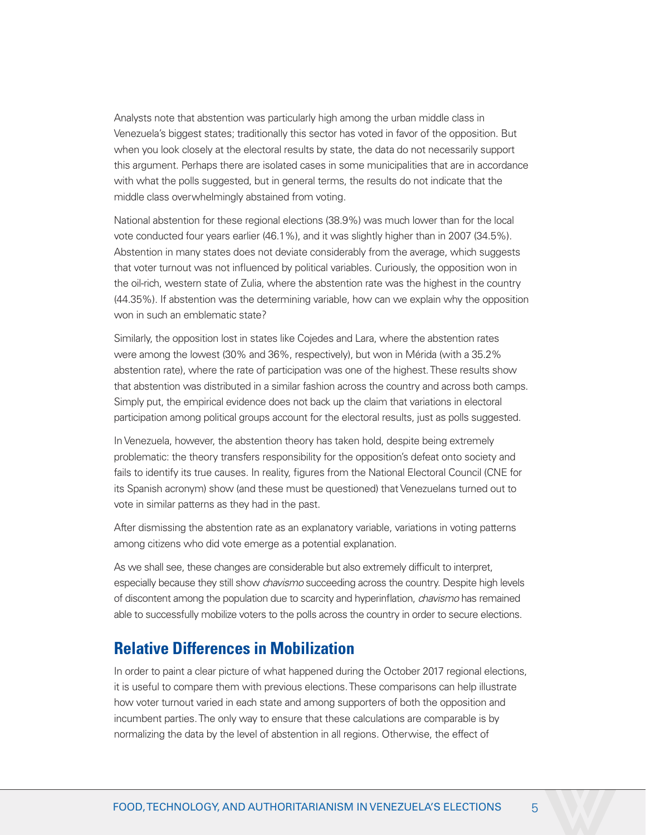Analysts note that abstention was particularly high among the urban middle class in Venezuela's biggest states; traditionally this sector has voted in favor of the opposition. But when you look closely at the electoral results by state, the data do not necessarily support this argument. Perhaps there are isolated cases in some municipalities that are in accordance with what the polls suggested, but in general terms, the results do not indicate that the middle class overwhelmingly abstained from voting.

National abstention for these regional elections (38.9%) was much lower than for the local vote conducted four years earlier (46.1%), and it was slightly higher than in 2007 (34.5%). Abstention in many states does not deviate considerably from the average, which suggests that voter turnout was not influenced by political variables. Curiously, the opposition won in the oil-rich, western state of Zulia, where the abstention rate was the highest in the country (44.35%). If abstention was the determining variable, how can we explain why the opposition won in such an emblematic state?

Similarly, the opposition lost in states like Cojedes and Lara, where the abstention rates were among the lowest (30% and 36%, respectively), but won in Mérida (with a 35.2% abstention rate), where the rate of participation was one of the highest. These results show that abstention was distributed in a similar fashion across the country and across both camps. Simply put, the empirical evidence does not back up the claim that variations in electoral participation among political groups account for the electoral results, just as polls suggested.

In Venezuela, however, the abstention theory has taken hold, despite being extremely problematic: the theory transfers responsibility for the opposition's defeat onto society and fails to identify its true causes. In reality, figures from the National Electoral Council (CNE for its Spanish acronym) show (and these must be questioned) that Venezuelans turned out to vote in similar patterns as they had in the past.

After dismissing the abstention rate as an explanatory variable, variations in voting patterns among citizens who did vote emerge as a potential explanation.

As we shall see, these changes are considerable but also extremely difficult to interpret, especially because they still show *chavismo* succeeding across the country. Despite high levels of discontent among the population due to scarcity and hyperinflation, *chavismo* has remained able to successfully mobilize voters to the polls across the country in order to secure elections.

#### **Relative Differences in Mobilization**

In order to paint a clear picture of what happened during the October 2017 regional elections, it is useful to compare them with previous elections. These comparisons can help illustrate how voter turnout varied in each state and among supporters of both the opposition and incumbent parties. The only way to ensure that these calculations are comparable is by normalizing the data by the level of abstention in all regions. Otherwise, the effect of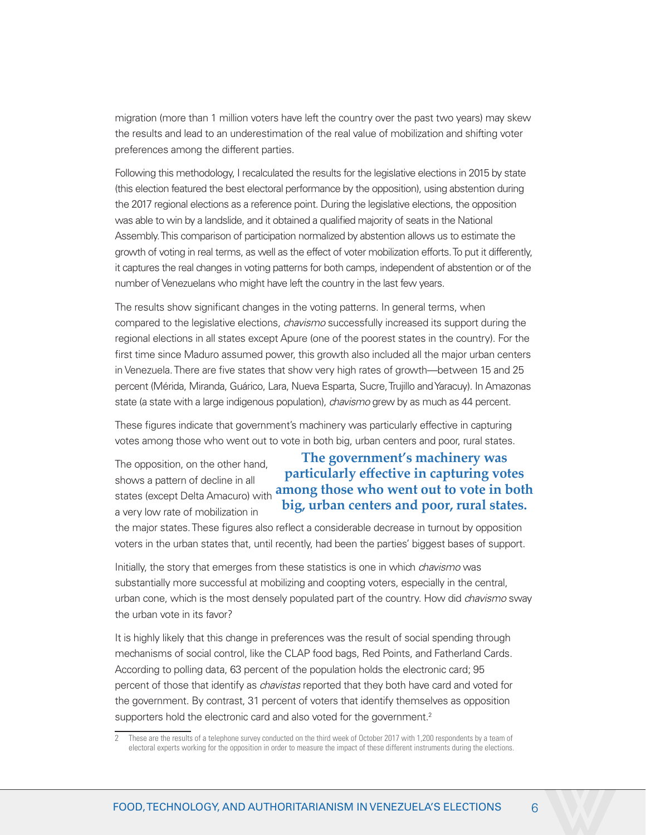migration (more than 1 million voters have left the country over the past two years) may skew the results and lead to an underestimation of the real value of mobilization and shifting voter preferences among the different parties.

Following this methodology, I recalculated the results for the legislative elections in 2015 by state (this election featured the best electoral performance by the opposition), using abstention during the 2017 regional elections as a reference point. During the legislative elections, the opposition was able to win by a landslide, and it obtained a qualified majority of seats in the National Assembly. This comparison of participation normalized by abstention allows us to estimate the growth of voting in real terms, as well as the effect of voter mobilization efforts. To put it differently, it captures the real changes in voting patterns for both camps, independent of abstention or of the number of Venezuelans who might have left the country in the last few years.

The results show significant changes in the voting patterns. In general terms, when compared to the legislative elections, *chavismo* successfully increased its support during the regional elections in all states except Apure (one of the poorest states in the country). For the first time since Maduro assumed power, this growth also included all the major urban centers in Venezuela. There are five states that show very high rates of growth—between 15 and 25 percent (Mérida, Miranda, Guárico, Lara, Nueva Esparta, Sucre, Trujillo and Yaracuy). In Amazonas state (a state with a large indigenous population), *chavismo* grew by as much as 44 percent.

These figures indicate that government's machinery was particularly effective in capturing votes among those who went out to vote in both big, urban centers and poor, rural states.

The opposition, on the other hand, shows a pattern of decline in all a very low rate of mobilization in

states (except Delta Amacuro) with **among those who went out to vote in both The government's machinery was particularly effective in capturing votes big, urban centers and poor, rural states.**

the major states. These figures also reflect a considerable decrease in turnout by opposition voters in the urban states that, until recently, had been the parties' biggest bases of support.

Initially, the story that emerges from these statistics is one in which *chavismo* was substantially more successful at mobilizing and coopting voters, especially in the central, urban cone, which is the most densely populated part of the country. How did *chavismo* sway the urban vote in its favor?

It is highly likely that this change in preferences was the result of social spending through mechanisms of social control, like the CLAP food bags, Red Points, and Fatherland Cards. According to polling data, 63 percent of the population holds the electronic card; 95 percent of those that identify as *chavistas* reported that they both have card and voted for the government. By contrast, 31 percent of voters that identify themselves as opposition supporters hold the electronic card and also voted for the government.<sup>2</sup>

These are the results of a telephone survey conducted on the third week of October 2017 with 1,200 respondents by a team of electoral experts working for the opposition in order to measure the impact of these different instruments during the elections.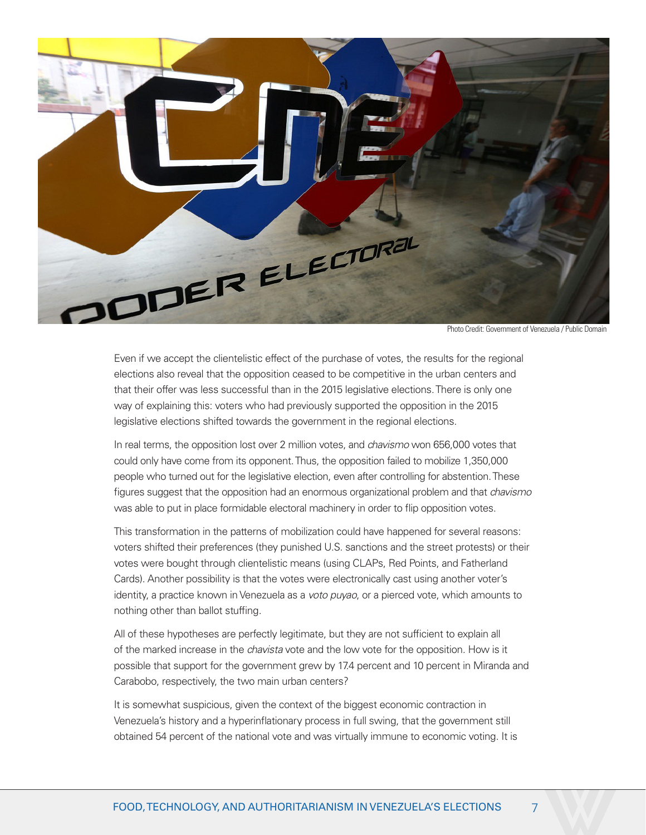

Photo Credit: Government of Venezuela / Public Domain

Even if we accept the clientelistic effect of the purchase of votes, the results for the regional elections also reveal that the opposition ceased to be competitive in the urban centers and that their offer was less successful than in the 2015 legislative elections. There is only one way of explaining this: voters who had previously supported the opposition in the 2015 legislative elections shifted towards the government in the regional elections.

In real terms, the opposition lost over 2 million votes, and *chavismo* won 656,000 votes that could only have come from its opponent. Thus, the opposition failed to mobilize 1,350,000 people who turned out for the legislative election, even after controlling for abstention. These figures suggest that the opposition had an enormous organizational problem and that *chavismo* was able to put in place formidable electoral machinery in order to flip opposition votes.

This transformation in the patterns of mobilization could have happened for several reasons: voters shifted their preferences (they punished U.S. sanctions and the street protests) or their votes were bought through clientelistic means (using CLAPs, Red Points, and Fatherland Cards). Another possibility is that the votes were electronically cast using another voter's identity, a practice known in Venezuela as a *voto puyao*, or a pierced vote, which amounts to nothing other than ballot stuffing.

All of these hypotheses are perfectly legitimate, but they are not sufficient to explain all of the marked increase in the *chavista* vote and the low vote for the opposition. How is it possible that support for the government grew by 17.4 percent and 10 percent in Miranda and Carabobo, respectively, the two main urban centers?

It is somewhat suspicious, given the context of the biggest economic contraction in Venezuela's history and a hyperinflationary process in full swing, that the government still obtained 54 percent of the national vote and was virtually immune to economic voting. It is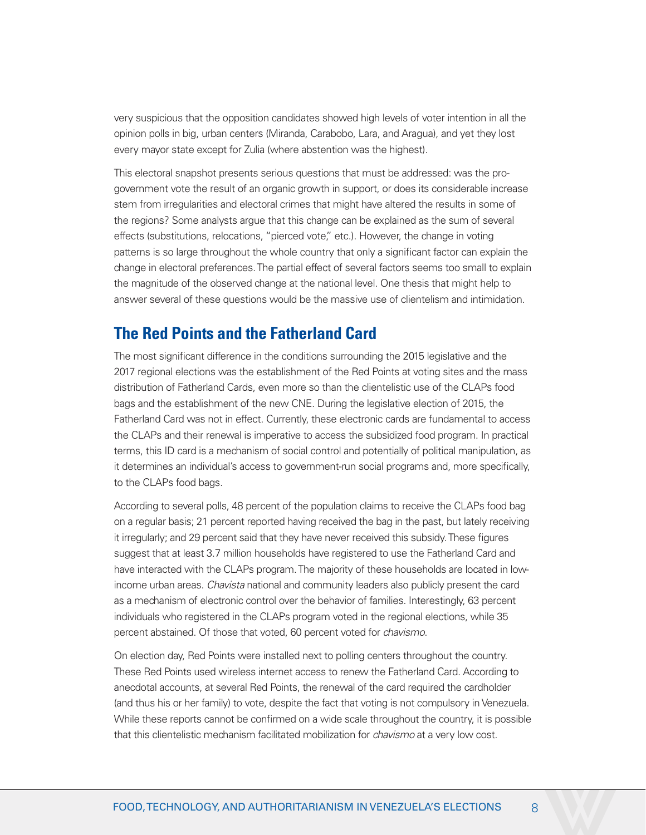very suspicious that the opposition candidates showed high levels of voter intention in all the opinion polls in big, urban centers (Miranda, Carabobo, Lara, and Aragua), and yet they lost every mayor state except for Zulia (where abstention was the highest).

This electoral snapshot presents serious questions that must be addressed: was the progovernment vote the result of an organic growth in support, or does its considerable increase stem from irregularities and electoral crimes that might have altered the results in some of the regions? Some analysts argue that this change can be explained as the sum of several effects (substitutions, relocations, "pierced vote," etc.). However, the change in voting patterns is so large throughout the whole country that only a significant factor can explain the change in electoral preferences. The partial effect of several factors seems too small to explain the magnitude of the observed change at the national level. One thesis that might help to answer several of these questions would be the massive use of clientelism and intimidation.

### **The Red Points and the Fatherland Card**

The most significant difference in the conditions surrounding the 2015 legislative and the 2017 regional elections was the establishment of the Red Points at voting sites and the mass distribution of Fatherland Cards, even more so than the clientelistic use of the CLAPs food bags and the establishment of the new CNE. During the legislative election of 2015, the Fatherland Card was not in effect. Currently, these electronic cards are fundamental to access the CLAPs and their renewal is imperative to access the subsidized food program. In practical terms, this ID card is a mechanism of social control and potentially of political manipulation, as it determines an individual's access to government-run social programs and, more specifically, to the CLAPs food bags.

According to several polls, 48 percent of the population claims to receive the CLAPs food bag on a regular basis; 21 percent reported having received the bag in the past, but lately receiving it irregularly; and 29 percent said that they have never received this subsidy. These figures suggest that at least 3.7 million households have registered to use the Fatherland Card and have interacted with the CLAPs program. The majority of these households are located in lowincome urban areas. *Chavista* national and community leaders also publicly present the card as a mechanism of electronic control over the behavior of families. Interestingly, 63 percent individuals who registered in the CLAPs program voted in the regional elections, while 35 percent abstained. Of those that voted, 60 percent voted for *chavismo*.

On election day, Red Points were installed next to polling centers throughout the country. These Red Points used wireless internet access to renew the Fatherland Card. According to anecdotal accounts, at several Red Points, the renewal of the card required the cardholder (and thus his or her family) to vote, despite the fact that voting is not compulsory in Venezuela. While these reports cannot be confirmed on a wide scale throughout the country, it is possible that this clientelistic mechanism facilitated mobilization for *chavismo* at a very low cost.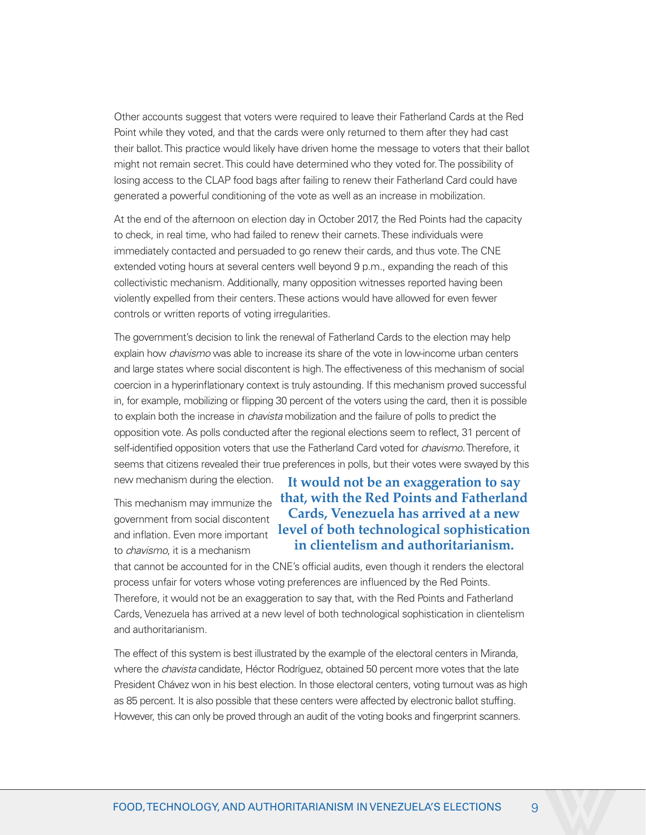Other accounts suggest that voters were required to leave their Fatherland Cards at the Red Point while they voted, and that the cards were only returned to them after they had cast their ballot. This practice would likely have driven home the message to voters that their ballot might not remain secret. This could have determined who they voted for. The possibility of losing access to the CLAP food bags after failing to renew their Fatherland Card could have generated a powerful conditioning of the vote as well as an increase in mobilization.

At the end of the afternoon on election day in October 2017, the Red Points had the capacity to check, in real time, who had failed to renew their carnets. These individuals were immediately contacted and persuaded to go renew their cards, and thus vote. The CNE extended voting hours at several centers well beyond 9 p.m., expanding the reach of this collectivistic mechanism. Additionally, many opposition witnesses reported having been violently expelled from their centers. These actions would have allowed for even fewer controls or written reports of voting irregularities.

The government's decision to link the renewal of Fatherland Cards to the election may help explain how *chavismo* was able to increase its share of the vote in low-income urban centers and large states where social discontent is high. The effectiveness of this mechanism of social coercion in a hyperinflationary context is truly astounding. If this mechanism proved successful in, for example, mobilizing or flipping 30 percent of the voters using the card, then it is possible to explain both the increase in *chavista* mobilization and the failure of polls to predict the opposition vote. As polls conducted after the regional elections seem to reflect, 31 percent of self-identified opposition voters that use the Fatherland Card voted for *chavismo*. Therefore, it seems that citizens revealed their true preferences in polls, but their votes were swayed by this

new mechanism during the election.

This mechanism may immunize the government from social discontent and inflation. Even more important to *chavismo*, it is a mechanism

#### **It would not be an exaggeration to say that, with the Red Points and Fatherland Cards, Venezuela has arrived at a new level of both technological sophistication in clientelism and authoritarianism.**

that cannot be accounted for in the CNE's official audits, even though it renders the electoral process unfair for voters whose voting preferences are influenced by the Red Points. Therefore, it would not be an exaggeration to say that, with the Red Points and Fatherland Cards, Venezuela has arrived at a new level of both technological sophistication in clientelism and authoritarianism.

The effect of this system is best illustrated by the example of the electoral centers in Miranda, where the *chavista* candidate, Héctor Rodríguez, obtained 50 percent more votes that the late President Chávez won in his best election. In those electoral centers, voting turnout was as high as 85 percent. It is also possible that these centers were affected by electronic ballot stuffing. However, this can only be proved through an audit of the voting books and fingerprint scanners.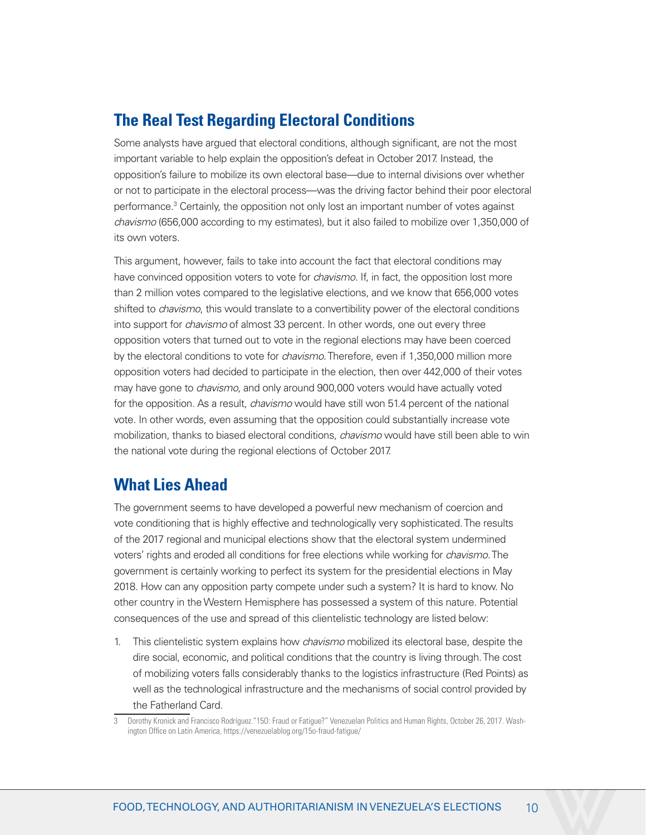# **The Real Test Regarding Electoral Conditions**

Some analysts have argued that electoral conditions, although significant, are not the most important variable to help explain the opposition's defeat in October 2017. Instead, the opposition's failure to mobilize its own electoral base—due to internal divisions over whether or not to participate in the electoral process—was the driving factor behind their poor electoral performance.<sup>3</sup> Certainly, the opposition not only lost an important number of votes against *chavismo* (656,000 according to my estimates), but it also failed to mobilize over 1,350,000 of its own voters.

This argument, however, fails to take into account the fact that electoral conditions may have convinced opposition voters to vote for *chavismo*. If, in fact, the opposition lost more than 2 million votes compared to the legislative elections, and we know that 656,000 votes shifted to *chavismo*, this would translate to a convertibility power of the electoral conditions into support for *chavismo* of almost 33 percent. In other words, one out every three opposition voters that turned out to vote in the regional elections may have been coerced by the electoral conditions to vote for *chavismo*. Therefore, even if 1,350,000 million more opposition voters had decided to participate in the election, then over 442,000 of their votes may have gone to *chavismo*, and only around 900,000 voters would have actually voted for the opposition. As a result, *chavismo* would have still won 51.4 percent of the national vote. In other words, even assuming that the opposition could substantially increase vote mobilization, thanks to biased electoral conditions, *chavismo* would have still been able to win the national vote during the regional elections of October 2017.

# **What Lies Ahead**

The government seems to have developed a powerful new mechanism of coercion and vote conditioning that is highly effective and technologically very sophisticated. The results of the 2017 regional and municipal elections show that the electoral system undermined voters' rights and eroded all conditions for free elections while working for *chavismo*. The government is certainly working to perfect its system for the presidential elections in May 2018. How can any opposition party compete under such a system? It is hard to know. No other country in the Western Hemisphere has possessed a system of this nature. Potential consequences of the use and spread of this clientelistic technology are listed below:

1. This clientelistic system explains how *chavismo* mobilized its electoral base, despite the dire social, economic, and political conditions that the country is living through. The cost of mobilizing voters falls considerably thanks to the logistics infrastructure (Red Points) as well as the technological infrastructure and the mechanisms of social control provided by the Fatherland Card.

<sup>3</sup> Dorothy Kronick and Francisco Rodríguez."15O: Fraud or Fatigue?" Venezuelan Politics and Human Rights, October 26, 2017. Washington Office on Latin America, https://venezuelablog.org/15o-fraud-fatigue/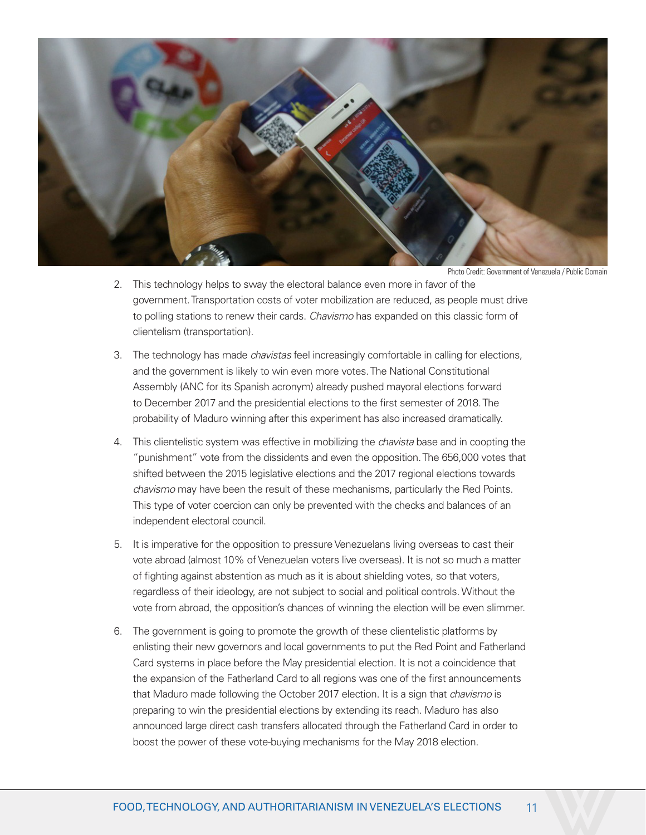

Photo Credit: Government of Venezuela / Public Domain

- 2. This technology helps to sway the electoral balance even more in favor of the government. Transportation costs of voter mobilization are reduced, as people must drive to polling stations to renew their cards. *Chavismo* has expanded on this classic form of clientelism (transportation).
- 3. The technology has made *chavistas* feel increasingly comfortable in calling for elections, and the government is likely to win even more votes. The National Constitutional Assembly (ANC for its Spanish acronym) already pushed mayoral elections forward to December 2017 and the presidential elections to the first semester of 2018. The probability of Maduro winning after this experiment has also increased dramatically.
- 4. This clientelistic system was effective in mobilizing the *chavista* base and in coopting the "punishment" vote from the dissidents and even the opposition. The 656,000 votes that shifted between the 2015 legislative elections and the 2017 regional elections towards *chavismo* may have been the result of these mechanisms, particularly the Red Points. This type of voter coercion can only be prevented with the checks and balances of an independent electoral council.
- 5. It is imperative for the opposition to pressure Venezuelans living overseas to cast their vote abroad (almost 10% of Venezuelan voters live overseas). It is not so much a matter of fighting against abstention as much as it is about shielding votes, so that voters, regardless of their ideology, are not subject to social and political controls. Without the vote from abroad, the opposition's chances of winning the election will be even slimmer.
- 6. The government is going to promote the growth of these clientelistic platforms by enlisting their new governors and local governments to put the Red Point and Fatherland Card systems in place before the May presidential election. It is not a coincidence that the expansion of the Fatherland Card to all regions was one of the first announcements that Maduro made following the October 2017 election. It is a sign that *chavismo* is preparing to win the presidential elections by extending its reach. Maduro has also announced large direct cash transfers allocated through the Fatherland Card in order to boost the power of these vote-buying mechanisms for the May 2018 election.